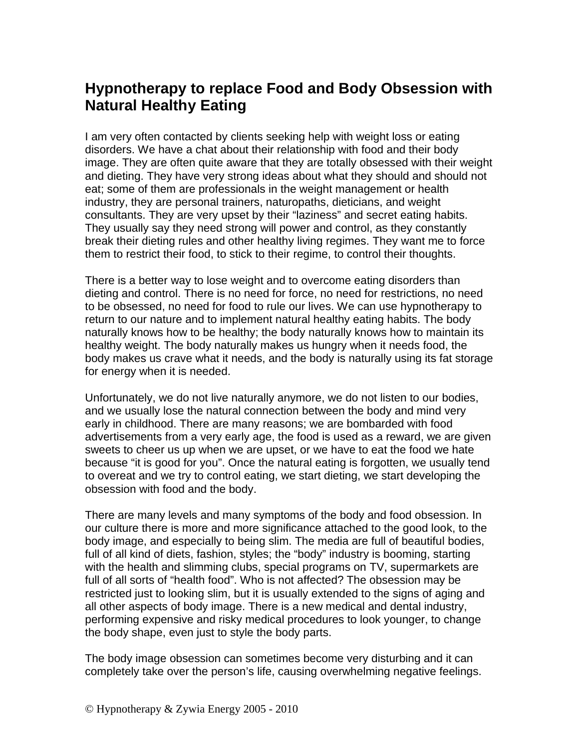## **Hypnotherapy to replace Food and Body Obsession with Natural Healthy Eating**

I am very often contacted by clients seeking help with weight loss or eating disorders. We have a chat about their relationship with food and their body image. They are often quite aware that they are totally obsessed with their weight and dieting. They have very strong ideas about what they should and should not eat; some of them are professionals in the weight management or health industry, they are personal trainers, naturopaths, dieticians, and weight consultants. They are very upset by their "laziness" and secret eating habits. They usually say they need strong will power and control, as they constantly break their dieting rules and other healthy living regimes. They want me to force them to restrict their food, to stick to their regime, to control their thoughts.

There is a better way to lose weight and to overcome eating disorders than dieting and control. There is no need for force, no need for restrictions, no need to be obsessed, no need for food to rule our lives. We can use hypnotherapy to return to our nature and to implement natural healthy eating habits. The body naturally knows how to be healthy; the body naturally knows how to maintain its healthy weight. The body naturally makes us hungry when it needs food, the body makes us crave what it needs, and the body is naturally using its fat storage for energy when it is needed.

Unfortunately, we do not live naturally anymore, we do not listen to our bodies, and we usually lose the natural connection between the body and mind very early in childhood. There are many reasons; we are bombarded with food advertisements from a very early age, the food is used as a reward, we are given sweets to cheer us up when we are upset, or we have to eat the food we hate because "it is good for you". Once the natural eating is forgotten, we usually tend to overeat and we try to control eating, we start dieting, we start developing the obsession with food and the body.

There are many levels and many symptoms of the body and food obsession. In our culture there is more and more significance attached to the good look, to the body image, and especially to being slim. The media are full of beautiful bodies, full of all kind of diets, fashion, styles; the "body" industry is booming, starting with the health and slimming clubs, special programs on TV, supermarkets are full of all sorts of "health food". Who is not affected? The obsession may be restricted just to looking slim, but it is usually extended to the signs of aging and all other aspects of body image. There is a new medical and dental industry, performing expensive and risky medical procedures to look younger, to change the body shape, even just to style the body parts.

The body image obsession can sometimes become very disturbing and it can completely take over the person's life, causing overwhelming negative feelings.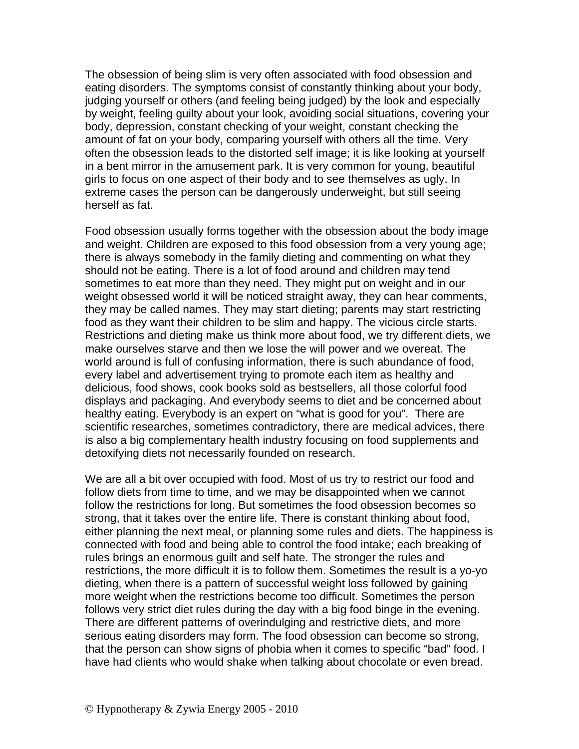The obsession of being slim is very often associated with food obsession and eating disorders. The symptoms consist of constantly thinking about your body, judging yourself or others (and feeling being judged) by the look and especially by weight, feeling guilty about your look, avoiding social situations, covering your body, depression, constant checking of your weight, constant checking the amount of fat on your body, comparing yourself with others all the time. Very often the obsession leads to the distorted self image; it is like looking at yourself in a bent mirror in the amusement park. It is very common for young, beautiful girls to focus on one aspect of their body and to see themselves as ugly. In extreme cases the person can be dangerously underweight, but still seeing herself as fat.

Food obsession usually forms together with the obsession about the body image and weight. Children are exposed to this food obsession from a very young age; there is always somebody in the family dieting and commenting on what they should not be eating. There is a lot of food around and children may tend sometimes to eat more than they need. They might put on weight and in our weight obsessed world it will be noticed straight away, they can hear comments, they may be called names. They may start dieting; parents may start restricting food as they want their children to be slim and happy. The vicious circle starts. Restrictions and dieting make us think more about food, we try different diets, we make ourselves starve and then we lose the will power and we overeat. The world around is full of confusing information, there is such abundance of food, every label and advertisement trying to promote each item as healthy and delicious, food shows, cook books sold as bestsellers, all those colorful food displays and packaging. And everybody seems to diet and be concerned about healthy eating. Everybody is an expert on "what is good for you". There are scientific researches, sometimes contradictory, there are medical advices, there is also a big complementary health industry focusing on food supplements and detoxifying diets not necessarily founded on research.

We are all a bit over occupied with food. Most of us try to restrict our food and follow diets from time to time, and we may be disappointed when we cannot follow the restrictions for long. But sometimes the food obsession becomes so strong, that it takes over the entire life. There is constant thinking about food, either planning the next meal, or planning some rules and diets. The happiness is connected with food and being able to control the food intake; each breaking of rules brings an enormous guilt and self hate. The stronger the rules and restrictions, the more difficult it is to follow them. Sometimes the result is a yo-yo dieting, when there is a pattern of successful weight loss followed by gaining more weight when the restrictions become too difficult. Sometimes the person follows very strict diet rules during the day with a big food binge in the evening. There are different patterns of overindulging and restrictive diets, and more serious eating disorders may form. The food obsession can become so strong, that the person can show signs of phobia when it comes to specific "bad" food. I have had clients who would shake when talking about chocolate or even bread.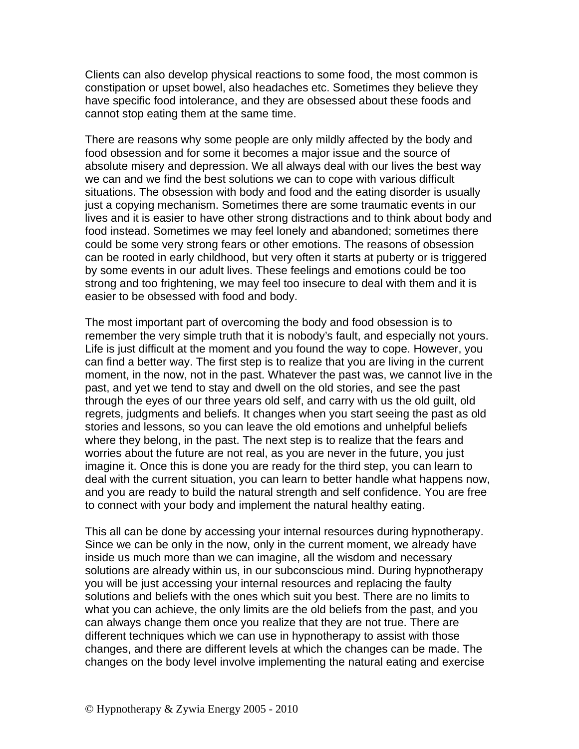Clients can also develop physical reactions to some food, the most common is constipation or upset bowel, also headaches etc. Sometimes they believe they have specific food intolerance, and they are obsessed about these foods and cannot stop eating them at the same time.

There are reasons why some people are only mildly affected by the body and food obsession and for some it becomes a major issue and the source of absolute misery and depression. We all always deal with our lives the best way we can and we find the best solutions we can to cope with various difficult situations. The obsession with body and food and the eating disorder is usually just a copying mechanism. Sometimes there are some traumatic events in our lives and it is easier to have other strong distractions and to think about body and food instead. Sometimes we may feel lonely and abandoned; sometimes there could be some very strong fears or other emotions. The reasons of obsession can be rooted in early childhood, but very often it starts at puberty or is triggered by some events in our adult lives. These feelings and emotions could be too strong and too frightening, we may feel too insecure to deal with them and it is easier to be obsessed with food and body.

The most important part of overcoming the body and food obsession is to remember the very simple truth that it is nobody's fault, and especially not yours. Life is just difficult at the moment and you found the way to cope. However, you can find a better way. The first step is to realize that you are living in the current moment, in the now, not in the past. Whatever the past was, we cannot live in the past, and yet we tend to stay and dwell on the old stories, and see the past through the eyes of our three years old self, and carry with us the old guilt, old regrets, judgments and beliefs. It changes when you start seeing the past as old stories and lessons, so you can leave the old emotions and unhelpful beliefs where they belong, in the past. The next step is to realize that the fears and worries about the future are not real, as you are never in the future, you just imagine it. Once this is done you are ready for the third step, you can learn to deal with the current situation, you can learn to better handle what happens now, and you are ready to build the natural strength and self confidence. You are free to connect with your body and implement the natural healthy eating.

This all can be done by accessing your internal resources during hypnotherapy. Since we can be only in the now, only in the current moment, we already have inside us much more than we can imagine, all the wisdom and necessary solutions are already within us, in our subconscious mind. During hypnotherapy you will be just accessing your internal resources and replacing the faulty solutions and beliefs with the ones which suit you best. There are no limits to what you can achieve, the only limits are the old beliefs from the past, and you can always change them once you realize that they are not true. There are different techniques which we can use in hypnotherapy to assist with those changes, and there are different levels at which the changes can be made. The changes on the body level involve implementing the natural eating and exercise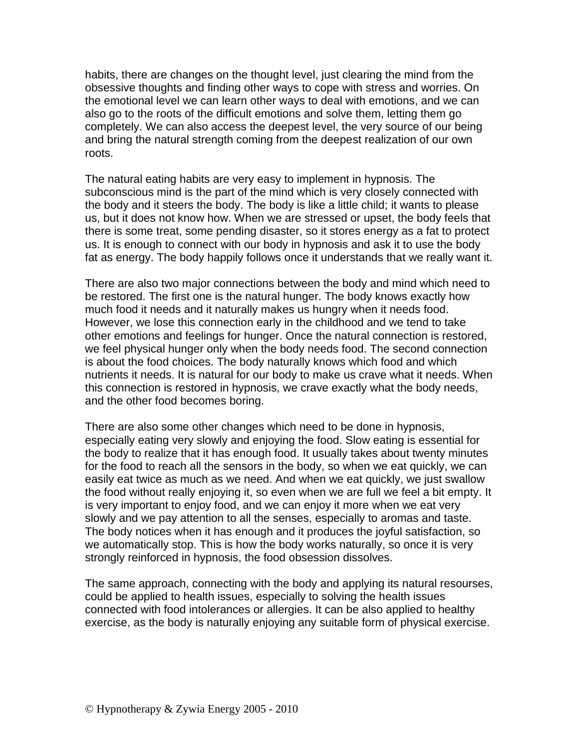habits, there are changes on the thought level, just clearing the mind from the obsessive thoughts and finding other ways to cope with stress and worries. On the emotional level we can learn other ways to deal with emotions, and we can also go to the roots of the difficult emotions and solve them, letting them go completely. We can also access the deepest level, the very source of our being and bring the natural strength coming from the deepest realization of our own roots.

The natural eating habits are very easy to implement in hypnosis. The subconscious mind is the part of the mind which is very closely connected with the body and it steers the body. The body is like a little child; it wants to please us, but it does not know how. When we are stressed or upset, the body feels that there is some treat, some pending disaster, so it stores energy as a fat to protect us. It is enough to connect with our body in hypnosis and ask it to use the body fat as energy. The body happily follows once it understands that we really want it.

There are also two major connections between the body and mind which need to be restored. The first one is the natural hunger. The body knows exactly how much food it needs and it naturally makes us hungry when it needs food. However, we lose this connection early in the childhood and we tend to take other emotions and feelings for hunger. Once the natural connection is restored, we feel physical hunger only when the body needs food. The second connection is about the food choices. The body naturally knows which food and which nutrients it needs. It is natural for our body to make us crave what it needs. When this connection is restored in hypnosis, we crave exactly what the body needs, and the other food becomes boring.

There are also some other changes which need to be done in hypnosis, especially eating very slowly and enjoying the food. Slow eating is essential for the body to realize that it has enough food. It usually takes about twenty minutes for the food to reach all the sensors in the body, so when we eat quickly, we can easily eat twice as much as we need. And when we eat quickly, we just swallow the food without really enjoying it, so even when we are full we feel a bit empty. It is very important to enjoy food, and we can enjoy it more when we eat very slowly and we pay attention to all the senses, especially to aromas and taste. The body notices when it has enough and it produces the joyful satisfaction, so we automatically stop. This is how the body works naturally, so once it is very strongly reinforced in hypnosis, the food obsession dissolves.

The same approach, connecting with the body and applying its natural resourses, could be applied to health issues, especially to solving the health issues connected with food intolerances or allergies. It can be also applied to healthy exercise, as the body is naturally enjoying any suitable form of physical exercise.